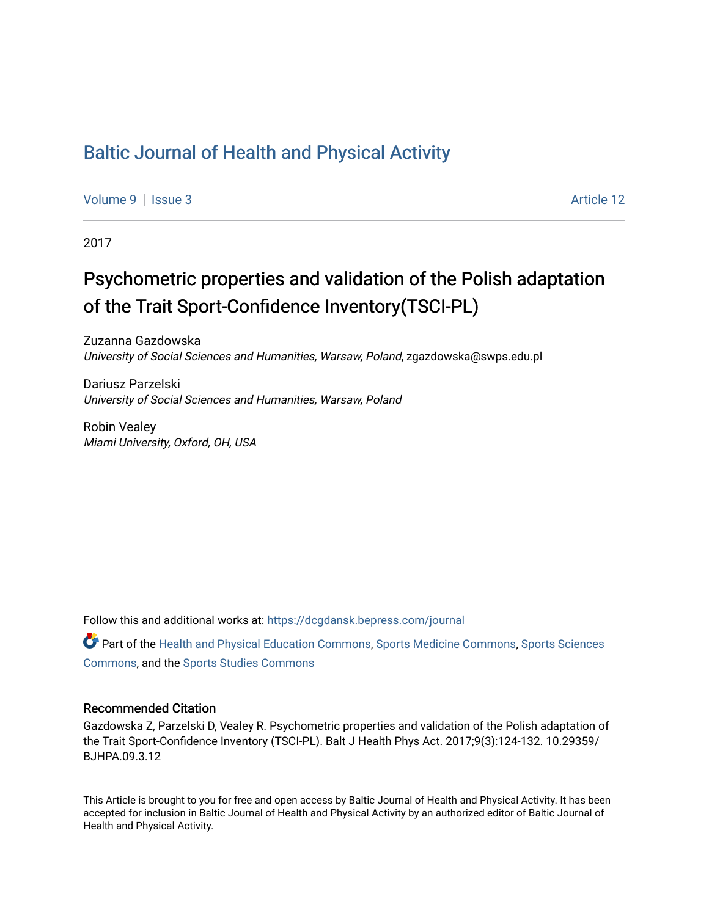## [Baltic Journal of Health and Physical Activity](https://dcgdansk.bepress.com/journal)

[Volume 9](https://dcgdansk.bepress.com/journal/vol9) | [Issue 3](https://dcgdansk.bepress.com/journal/vol9/iss3) Article 12

2017

## Psychometric properties and validation of the Polish adaptation of the Trait Sport-Confidence Inventory(TSCI-PL)

Zuzanna Gazdowska University of Social Sciences and Humanities, Warsaw, Poland, zgazdowska@swps.edu.pl

Dariusz Parzelski University of Social Sciences and Humanities, Warsaw, Poland

Robin Vealey Miami University, Oxford, OH, USA

Follow this and additional works at: [https://dcgdansk.bepress.com/journal](https://dcgdansk.bepress.com/journal?utm_source=dcgdansk.bepress.com%2Fjournal%2Fvol9%2Fiss3%2F12&utm_medium=PDF&utm_campaign=PDFCoverPages)

Part of the [Health and Physical Education Commons](http://network.bepress.com/hgg/discipline/1327?utm_source=dcgdansk.bepress.com%2Fjournal%2Fvol9%2Fiss3%2F12&utm_medium=PDF&utm_campaign=PDFCoverPages), [Sports Medicine Commons,](http://network.bepress.com/hgg/discipline/1331?utm_source=dcgdansk.bepress.com%2Fjournal%2Fvol9%2Fiss3%2F12&utm_medium=PDF&utm_campaign=PDFCoverPages) [Sports Sciences](http://network.bepress.com/hgg/discipline/759?utm_source=dcgdansk.bepress.com%2Fjournal%2Fvol9%2Fiss3%2F12&utm_medium=PDF&utm_campaign=PDFCoverPages) [Commons](http://network.bepress.com/hgg/discipline/759?utm_source=dcgdansk.bepress.com%2Fjournal%2Fvol9%2Fiss3%2F12&utm_medium=PDF&utm_campaign=PDFCoverPages), and the [Sports Studies Commons](http://network.bepress.com/hgg/discipline/1198?utm_source=dcgdansk.bepress.com%2Fjournal%2Fvol9%2Fiss3%2F12&utm_medium=PDF&utm_campaign=PDFCoverPages) 

#### Recommended Citation

Gazdowska Z, Parzelski D, Vealey R. Psychometric properties and validation of the Polish adaptation of the Trait Sport-Confidence Inventory (TSCI-PL). Balt J Health Phys Act. 2017;9(3):124-132. 10.29359/ BJHPA.09.3.12

This Article is brought to you for free and open access by Baltic Journal of Health and Physical Activity. It has been accepted for inclusion in Baltic Journal of Health and Physical Activity by an authorized editor of Baltic Journal of Health and Physical Activity.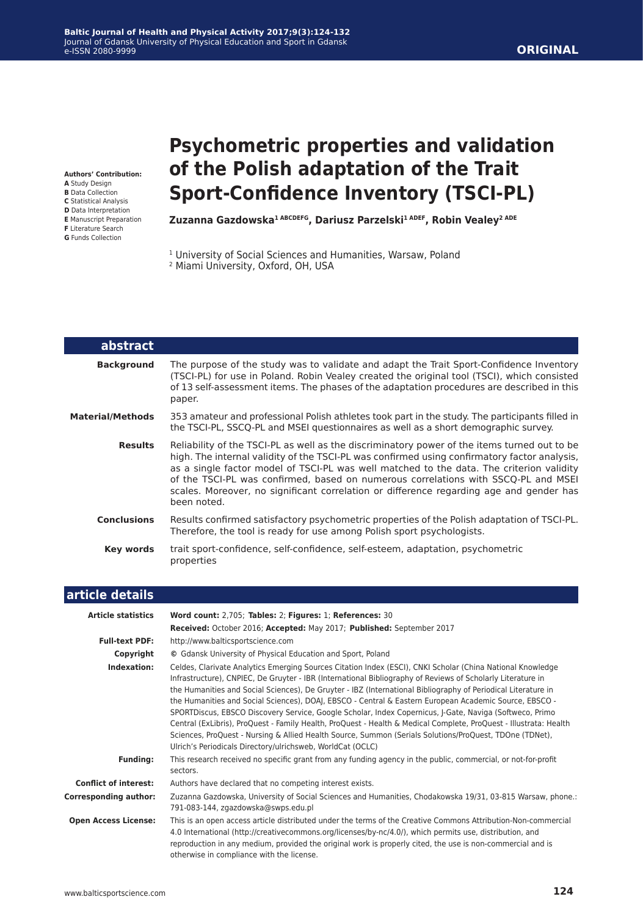#### **Baltic Journal of Health and Physical Activity 2017;9(3):124-132** Journal of Gdansk University of Physical Education and Sport in Gdansk e-ISSN 2080-9999

**Authors' Contribution:**

- **A** Study Design
- **B** Data Collection
- **C** Statistical Analysis
- **D** Data Interpretation
- **E** Manuscript Preparation
- **F** Literature Search **G** Funds Collection

I

# **Psychometric properties and validation of the Polish adaptation of the Trait Sport-Confidence Inventory (TSCI-PL)**

Zuzanna Gazdowska<sup>1 ABCDEFG</sup>, Dariusz Parzelski<sup>1 ADEF</sup>, Robin Vealey<sup>2 ADE</sup>

- <sup>1</sup> University of Social Sciences and Humanities, Warsaw, Poland
- 2 Miami University, Oxford, OH, USA

| abstract                |                                                                                                                                                                                                                                                                                                                                                                                                                                                                                          |
|-------------------------|------------------------------------------------------------------------------------------------------------------------------------------------------------------------------------------------------------------------------------------------------------------------------------------------------------------------------------------------------------------------------------------------------------------------------------------------------------------------------------------|
| <b>Background</b>       | The purpose of the study was to validate and adapt the Trait Sport-Confidence Inventory<br>(TSCI-PL) for use in Poland. Robin Vealey created the original tool (TSCI), which consisted<br>of 13 self-assessment items. The phases of the adaptation procedures are described in this<br>paper.                                                                                                                                                                                           |
| <b>Material/Methods</b> | 353 amateur and professional Polish athletes took part in the study. The participants filled in<br>the TSCI-PL, SSCO-PL and MSEI questionnaires as well as a short demographic survey.                                                                                                                                                                                                                                                                                                   |
| <b>Results</b>          | Reliability of the TSCI-PL as well as the discriminatory power of the items turned out to be<br>high. The internal validity of the TSCI-PL was confirmed using confirmatory factor analysis,<br>as a single factor model of TSCI-PL was well matched to the data. The criterion validity<br>of the TSCI-PL was confirmed, based on numerous correlations with SSCQ-PL and MSEI<br>scales. Moreover, no significant correlation or difference regarding age and gender has<br>been noted. |
| <b>Conclusions</b>      | Results confirmed satisfactory psychometric properties of the Polish adaptation of TSCI-PL.<br>Therefore, the tool is ready for use among Polish sport psychologists.                                                                                                                                                                                                                                                                                                                    |
| Key words               | trait sport-confidence, self-confidence, self-esteem, adaptation, psychometric<br>properties                                                                                                                                                                                                                                                                                                                                                                                             |
|                         |                                                                                                                                                                                                                                                                                                                                                                                                                                                                                          |

| article details              |                                                                                                                                                                                                                                                                                                                                                                                                                                                                                                                                                                                                                                                                                                                                                                                                                                                               |
|------------------------------|---------------------------------------------------------------------------------------------------------------------------------------------------------------------------------------------------------------------------------------------------------------------------------------------------------------------------------------------------------------------------------------------------------------------------------------------------------------------------------------------------------------------------------------------------------------------------------------------------------------------------------------------------------------------------------------------------------------------------------------------------------------------------------------------------------------------------------------------------------------|
| <b>Article statistics</b>    | Word count: 2,705; Tables: 2; Figures: 1; References: 30                                                                                                                                                                                                                                                                                                                                                                                                                                                                                                                                                                                                                                                                                                                                                                                                      |
|                              | Received: October 2016; Accepted: May 2017; Published: September 2017                                                                                                                                                                                                                                                                                                                                                                                                                                                                                                                                                                                                                                                                                                                                                                                         |
| <b>Full-text PDF:</b>        | http://www.balticsportscience.com                                                                                                                                                                                                                                                                                                                                                                                                                                                                                                                                                                                                                                                                                                                                                                                                                             |
| Copyright                    | © Gdansk University of Physical Education and Sport, Poland                                                                                                                                                                                                                                                                                                                                                                                                                                                                                                                                                                                                                                                                                                                                                                                                   |
| Indexation:                  | Celdes, Clarivate Analytics Emerging Sources Citation Index (ESCI), CNKI Scholar (China National Knowledge<br>Infrastructure), CNPIEC, De Gruyter - IBR (International Bibliography of Reviews of Scholarly Literature in<br>the Humanities and Social Sciences), De Gruyter - IBZ (International Bibliography of Periodical Literature in<br>the Humanities and Social Sciences), DOAJ, EBSCO - Central & Eastern European Academic Source, EBSCO -<br>SPORTDiscus, EBSCO Discovery Service, Google Scholar, Index Copernicus, J-Gate, Naviga (Softweco, Primo<br>Central (ExLibris), ProQuest - Family Health, ProQuest - Health & Medical Complete, ProQuest - Illustrata: Health<br>Sciences, ProQuest - Nursing & Allied Health Source, Summon (Serials Solutions/ProQuest, TDOne (TDNet),<br>Ulrich's Periodicals Directory/ulrichsweb, WorldCat (OCLC) |
| <b>Funding:</b>              | This research received no specific grant from any funding agency in the public, commercial, or not-for-profit<br>sectors.                                                                                                                                                                                                                                                                                                                                                                                                                                                                                                                                                                                                                                                                                                                                     |
| <b>Conflict of interest:</b> | Authors have declared that no competing interest exists.                                                                                                                                                                                                                                                                                                                                                                                                                                                                                                                                                                                                                                                                                                                                                                                                      |
| <b>Corresponding author:</b> | Zuzanna Gazdowska, University of Social Sciences and Humanities, Chodakowska 19/31, 03-815 Warsaw, phone.:<br>791-083-144, zgazdowska@swps.edu.pl                                                                                                                                                                                                                                                                                                                                                                                                                                                                                                                                                                                                                                                                                                             |
| <b>Open Access License:</b>  | This is an open access article distributed under the terms of the Creative Commons Attribution-Non-commercial<br>4.0 International (http://creativecommons.org/licenses/by-nc/4.0/), which permits use, distribution, and<br>reproduction in any medium, provided the original work is properly cited, the use is non-commercial and is<br>otherwise in compliance with the license.                                                                                                                                                                                                                                                                                                                                                                                                                                                                          |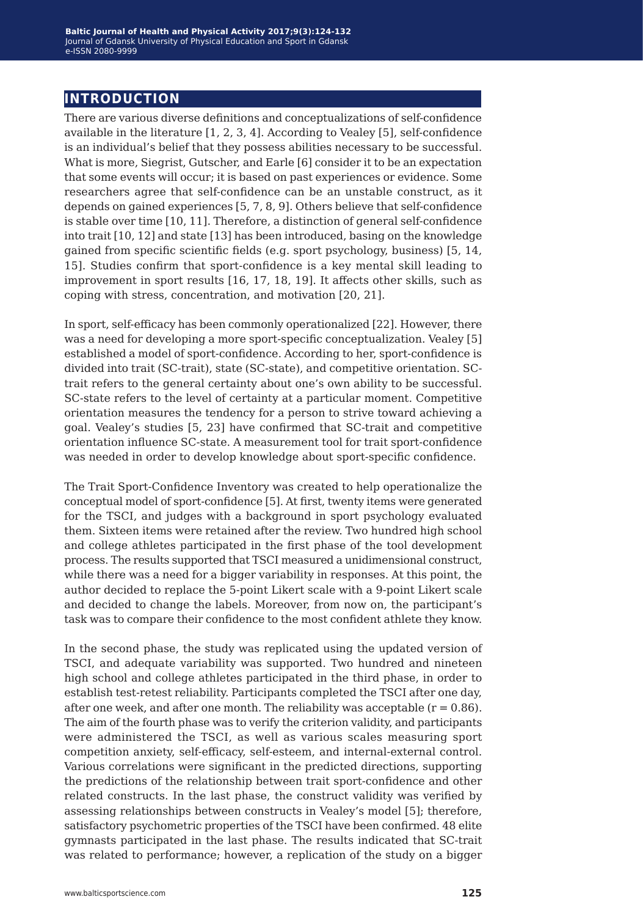## **introduction**

There are various diverse definitions and conceptualizations of self-confidence available in the literature [1, 2, 3, 4]. According to Vealey [5], self-confidence is an individual's belief that they possess abilities necessary to be successful. What is more, Siegrist, Gutscher, and Earle [6] consider it to be an expectation that some events will occur; it is based on past experiences or evidence. Some researchers agree that self-confidence can be an unstable construct, as it depends on gained experiences [5, 7, 8, 9]. Others believe that self-confidence is stable over time [10, 11]. Therefore, a distinction of general self-confidence into trait [10, 12] and state [13] has been introduced, basing on the knowledge gained from specific scientific fields (e.g. sport psychology, business) [5, 14, 15]. Studies confirm that sport-confidence is a key mental skill leading to improvement in sport results [16, 17, 18, 19]. It affects other skills, such as coping with stress, concentration, and motivation [20, 21].

In sport, self-efficacy has been commonly operationalized [22]. However, there was a need for developing a more sport-specific conceptualization. Vealey [5] established a model of sport-confidence. According to her, sport-confidence is divided into trait (SC-trait), state (SC-state), and competitive orientation. SCtrait refers to the general certainty about one's own ability to be successful. SC-state refers to the level of certainty at a particular moment. Competitive orientation measures the tendency for a person to strive toward achieving a goal. Vealey's studies [5, 23] have confirmed that SC-trait and competitive orientation influence SC-state. A measurement tool for trait sport-confidence was needed in order to develop knowledge about sport-specific confidence.

The Trait Sport-Confidence Inventory was created to help operationalize the conceptual model of sport-confidence [5]. At first, twenty items were generated for the TSCI, and judges with a background in sport psychology evaluated them. Sixteen items were retained after the review. Two hundred high school and college athletes participated in the first phase of the tool development process. The results supported that TSCI measured a unidimensional construct, while there was a need for a bigger variability in responses. At this point, the author decided to replace the 5-point Likert scale with a 9-point Likert scale and decided to change the labels. Moreover, from now on, the participant's task was to compare their confidence to the most confident athlete they know.

In the second phase, the study was replicated using the updated version of TSCI, and adequate variability was supported. Two hundred and nineteen high school and college athletes participated in the third phase, in order to establish test-retest reliability. Participants completed the TSCI after one day, after one week, and after one month. The reliability was acceptable  $(r = 0.86)$ . The aim of the fourth phase was to verify the criterion validity, and participants were administered the TSCI, as well as various scales measuring sport competition anxiety, self-efficacy, self-esteem, and internal-external control. Various correlations were significant in the predicted directions, supporting the predictions of the relationship between trait sport-confidence and other related constructs. In the last phase, the construct validity was verified by assessing relationships between constructs in Vealey's model [5]; therefore, satisfactory psychometric properties of the TSCI have been confirmed. 48 elite gymnasts participated in the last phase. The results indicated that SC-trait was related to performance; however, a replication of the study on a bigger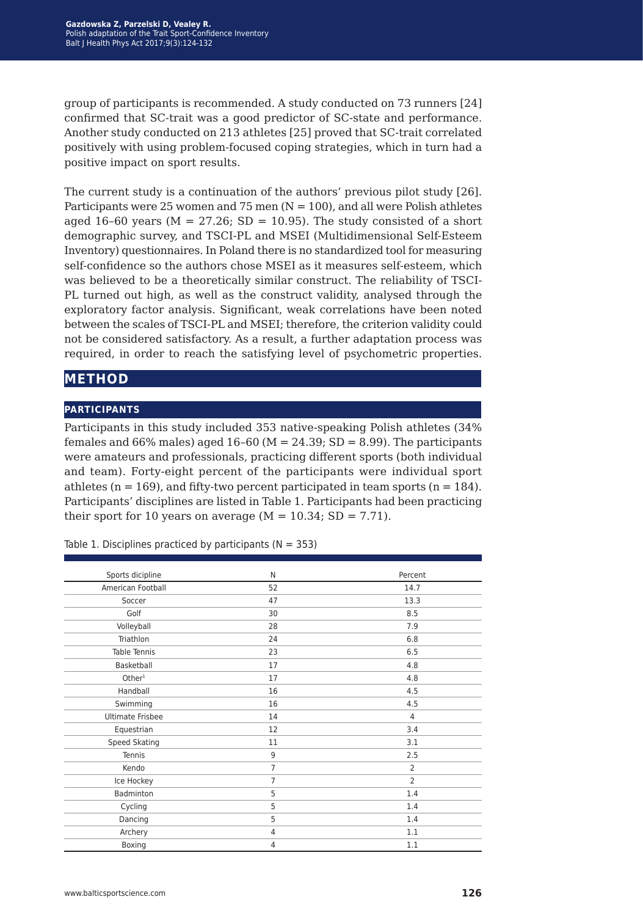group of participants is recommended. A study conducted on 73 runners [24] confirmed that SC-trait was a good predictor of SC-state and performance. Another study conducted on 213 athletes [25] proved that SC-trait correlated positively with using problem-focused coping strategies, which in turn had a positive impact on sport results.

The current study is a continuation of the authors' previous pilot study [26]. Participants were 25 women and 75 men  $(N = 100)$ , and all were Polish athletes aged 16–60 years ( $M = 27.26$ ; SD = 10.95). The study consisted of a short demographic survey, and TSCI-PL and MSEI (Multidimensional Self-Esteem Inventory) questionnaires. In Poland there is no standardized tool for measuring self-confidence so the authors chose MSEI as it measures self-esteem, which was believed to be a theoretically similar construct. The reliability of TSCI-PL turned out high, as well as the construct validity, analysed through the exploratory factor analysis. Significant, weak correlations have been noted between the scales of TSCI-PL and MSEI; therefore, the criterion validity could not be considered satisfactory. As a result, a further adaptation process was required, in order to reach the satisfying level of psychometric properties.

## **method**

#### **participants**

Participants in this study included 353 native-speaking Polish athletes (34% females and 66% males) aged  $16-60$  (M = 24.39; SD = 8.99). The participants were amateurs and professionals, practicing different sports (both individual and team). Forty-eight percent of the participants were individual sport athletes ( $n = 169$ ), and fifty-two percent participated in team sports ( $n = 184$ ). Participants' disciplines are listed in Table 1. Participants had been practicing their sport for 10 years on average  $(M = 10.34; SD = 7.71)$ .

| Sports dicipline        | N              | Percent        |
|-------------------------|----------------|----------------|
| American Football       | 52             | 14.7           |
| Soccer                  | 47             | 13.3           |
| Golf                    | 30             | 8.5            |
| Volleyball              | 28             | 7.9            |
| Triathlon               | 24             | 6.8            |
| Table Tennis            | 23             | 6.5            |
| Basketball              | 17             | 4.8            |
| Other <sup>1</sup>      | 17             | 4.8            |
| Handball                | 16             | 4.5            |
| Swimming                | 16             | 4.5            |
| <b>Ultimate Frisbee</b> | 14             | $\overline{4}$ |
| Equestrian              | 12             | 3.4            |
| Speed Skating           | 11             | 3.1            |
| Tennis                  | 9              | 2.5            |
| Kendo                   | $\overline{7}$ | $\overline{2}$ |
| Ice Hockey              | $\overline{7}$ | $\overline{2}$ |
| Badminton               | 5              | 1.4            |
| Cycling                 | 5              | 1.4            |
| Dancing                 | 5              | 1.4            |
| Archery                 | $\overline{4}$ | 1.1            |
| Boxing                  | $\overline{4}$ | 1.1            |

Table 1. Disciplines practiced by participants ( $N = 353$ )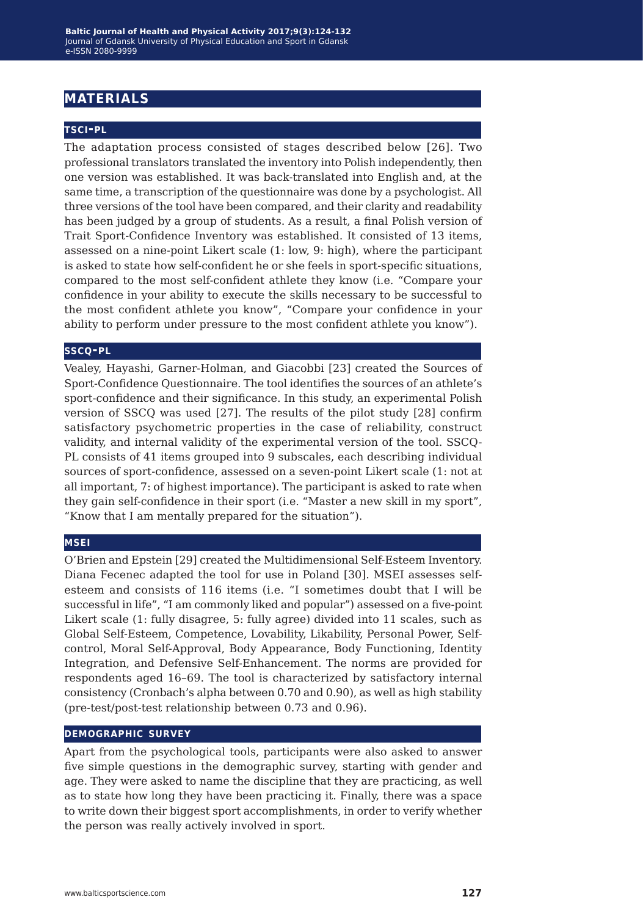## **materials**

#### **tsci-pl**

The adaptation process consisted of stages described below [26]. Two professional translators translated the inventory into Polish independently, then one version was established. It was back-translated into English and, at the same time, a transcription of the questionnaire was done by a psychologist. All three versions of the tool have been compared, and their clarity and readability has been judged by a group of students. As a result, a final Polish version of Trait Sport-Confidence Inventory was established. It consisted of 13 items, assessed on a nine-point Likert scale (1: low, 9: high), where the participant is asked to state how self-confident he or she feels in sport-specific situations, compared to the most self-confident athlete they know (i.e. "Compare your confidence in your ability to execute the skills necessary to be successful to the most confident athlete you know", "Compare your confidence in your ability to perform under pressure to the most confident athlete you know").

#### **sscq-pl**

Vealey, Hayashi, Garner-Holman, and Giacobbi [23] created the Sources of Sport-Confidence Questionnaire. The tool identifies the sources of an athlete's sport-confidence and their significance. In this study, an experimental Polish version of SSCQ was used [27]. The results of the pilot study [28] confirm satisfactory psychometric properties in the case of reliability, construct validity, and internal validity of the experimental version of the tool. SSCQ-PL consists of 41 items grouped into 9 subscales, each describing individual sources of sport-confidence, assessed on a seven-point Likert scale (1: not at all important, 7: of highest importance). The participant is asked to rate when they gain self-confidence in their sport (i.e. "Master a new skill in my sport", "Know that I am mentally prepared for the situation").

#### **msei**

O'Brien and Epstein [29] created the Multidimensional Self-Esteem Inventory. Diana Fecenec adapted the tool for use in Poland [30]. MSEI assesses selfesteem and consists of 116 items (i.e. "I sometimes doubt that I will be successful in life", "I am commonly liked and popular") assessed on a five-point Likert scale (1: fully disagree, 5: fully agree) divided into 11 scales, such as Global Self-Esteem, Competence, Lovability, Likability, Personal Power, Selfcontrol, Moral Self-Approval, Body Appearance, Body Functioning, Identity Integration, and Defensive Self-Enhancement. The norms are provided for respondents aged 16–69. The tool is characterized by satisfactory internal consistency (Cronbach's alpha between 0.70 and 0.90), as well as high stability (pre-test/post-test relationship between 0.73 and 0.96).

#### **demographic survey**

Apart from the psychological tools, participants were also asked to answer five simple questions in the demographic survey, starting with gender and age. They were asked to name the discipline that they are practicing, as well as to state how long they have been practicing it. Finally, there was a space to write down their biggest sport accomplishments, in order to verify whether the person was really actively involved in sport.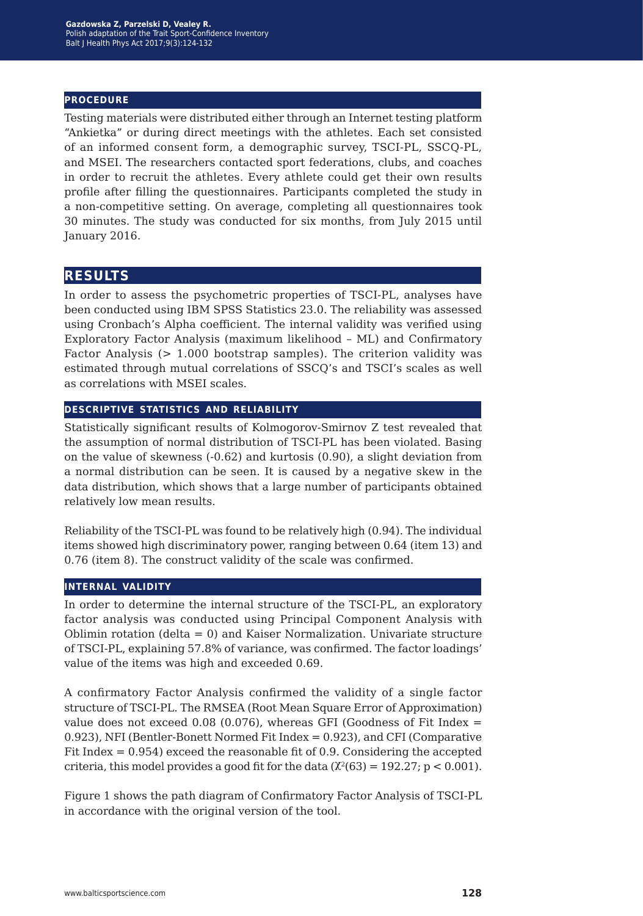#### **procedure**

Testing materials were distributed either through an Internet testing platform "Ankietka" or during direct meetings with the athletes. Each set consisted of an informed consent form, a demographic survey, TSCI-PL, SSCQ-PL, and MSEI. The researchers contacted sport federations, clubs, and coaches in order to recruit the athletes. Every athlete could get their own results profile after filling the questionnaires. Participants completed the study in a non-competitive setting. On average, completing all questionnaires took 30 minutes. The study was conducted for six months, from July 2015 until January 2016.

### **results**

In order to assess the psychometric properties of TSCI-PL, analyses have been conducted using IBM SPSS Statistics 23.0. The reliability was assessed using Cronbach's Alpha coefficient. The internal validity was verified using Exploratory Factor Analysis (maximum likelihood – ML) and Confirmatory Factor Analysis (> 1.000 bootstrap samples). The criterion validity was estimated through mutual correlations of SSCQ's and TSCI's scales as well as correlations with MSEI scales.

#### **descriptive statistics and reliability**

Statistically significant results of Kolmogorov-Smirnov Z test revealed that the assumption of normal distribution of TSCI-PL has been violated. Basing on the value of skewness (-0.62) and kurtosis (0.90), a slight deviation from a normal distribution can be seen. It is caused by a negative skew in the data distribution, which shows that a large number of participants obtained relatively low mean results.

Reliability of the TSCI-PL was found to be relatively high (0.94). The individual items showed high discriminatory power, ranging between 0.64 (item 13) and 0.76 (item 8). The construct validity of the scale was confirmed.

#### **internal validity**

In order to determine the internal structure of the TSCI-PL, an exploratory factor analysis was conducted using Principal Component Analysis with Oblimin rotation (delta = 0) and Kaiser Normalization. Univariate structure of TSCI-PL, explaining 57.8% of variance, was confirmed. The factor loadings' value of the items was high and exceeded 0.69.

A confirmatory Factor Analysis confirmed the validity of a single factor structure of TSCI-PL. The RMSEA (Root Mean Square Error of Approximation) value does not exceed  $0.08$  (0.076), whereas GFI (Goodness of Fit Index = 0.923), NFI (Bentler-Bonett Normed Fit Index = 0.923), and CFI (Comparative Fit Index = 0.954) exceed the reasonable fit of 0.9. Considering the accepted criteria, this model provides a good fit for the data ( $\chi^2(63) = 192.27$ ; p < 0.001).

Figure 1 shows the path diagram of Confirmatory Factor Analysis of TSCI-PL in accordance with the original version of the tool.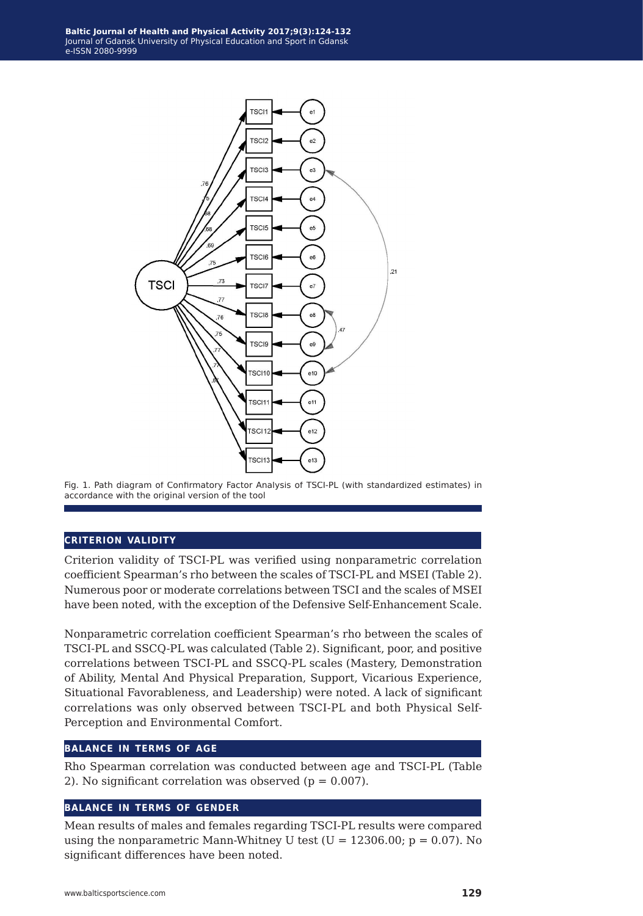

Fig. 1. Path diagram of Confirmatory Factor Analysis of TSCI-PL (with standardized estimates) in accordance with the original version of the tool

#### **criterion validity**

Criterion validity of TSCI-PL was verified using nonparametric correlation coefficient Spearman's rho between the scales of TSCI-PL and MSEI (Table 2). Numerous poor or moderate correlations between TSCI and the scales of MSEI have been noted, with the exception of the Defensive Self-Enhancement Scale.

Nonparametric correlation coefficient Spearman's rho between the scales of TSCI-PL and SSCQ-PL was calculated (Table 2). Significant, poor, and positive correlations between TSCI-PL and SSCQ-PL scales (Mastery, Demonstration of Ability, Mental And Physical Preparation, Support, Vicarious Experience, Situational Favorableness, and Leadership) were noted. A lack of significant correlations was only observed between TSCI-PL and both Physical Self-Perception and Environmental Comfort.

#### **balance in terms of age**

Rho Spearman correlation was conducted between age and TSCI-PL (Table 2). No significant correlation was observed ( $p = 0.007$ ).

#### **balance in terms of gender**

Mean results of males and females regarding TSCI-PL results were compared using the nonparametric Mann-Whitney U test ( $U = 12306.00$ ;  $p = 0.07$ ). No significant differences have been noted.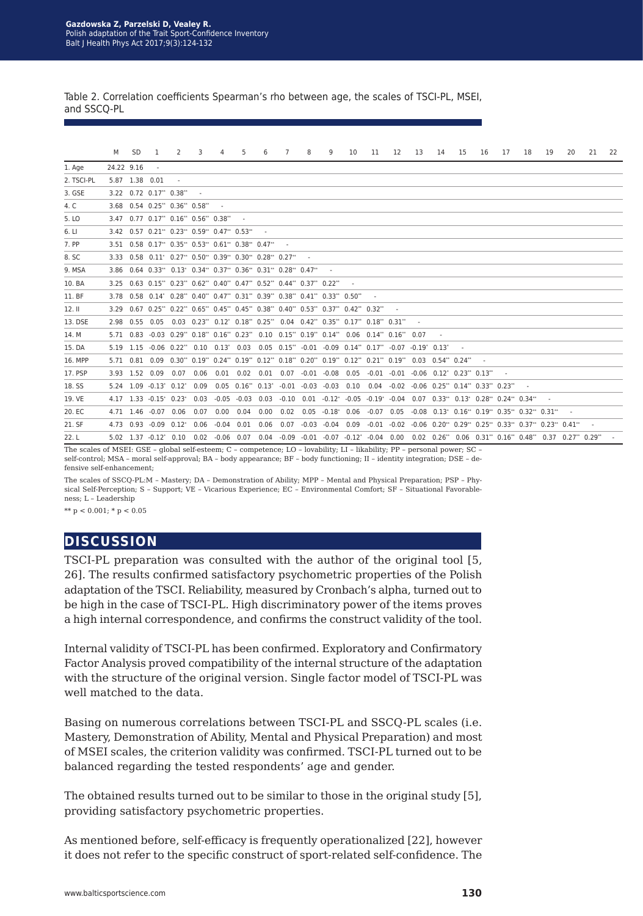Table 2. Correlation coefficients Spearman's rho between age, the scales of TSCI-PL, MSEI, and SSCQ-PL

|               | M          | <b>SD</b> | 1                                                                              | 2                        | 3      | 4              | 5                   | 6    | 7       | 8 | 9                   | 10                                                                                                                                     | 11      | 12   | 13 | 14 | 15 | 16 | 17 | 18                                                       | 19 | 20                                                                                                                      | 21 | 22 |
|---------------|------------|-----------|--------------------------------------------------------------------------------|--------------------------|--------|----------------|---------------------|------|---------|---|---------------------|----------------------------------------------------------------------------------------------------------------------------------------|---------|------|----|----|----|----|----|----------------------------------------------------------|----|-------------------------------------------------------------------------------------------------------------------------|----|----|
| 1. Age        | 24.22 9.16 |           |                                                                                |                          |        |                |                     |      |         |   |                     |                                                                                                                                        |         |      |    |    |    |    |    |                                                          |    |                                                                                                                         |    |    |
| 2. TSCI-PL    |            |           | 5.87 1.38 0.01                                                                 | $\overline{\phantom{a}}$ |        |                |                     |      |         |   |                     |                                                                                                                                        |         |      |    |    |    |    |    |                                                          |    |                                                                                                                         |    |    |
| 3. GSE        |            |           | $3.22$ 0.72 0.17** 0.38**                                                      |                          | $\sim$ |                |                     |      |         |   |                     |                                                                                                                                        |         |      |    |    |    |    |    |                                                          |    |                                                                                                                         |    |    |
| 4. C          |            |           | 3.68 0.54 0.25** 0.36** 0.58**                                                 |                          |        |                |                     |      |         |   |                     |                                                                                                                                        |         |      |    |    |    |    |    |                                                          |    |                                                                                                                         |    |    |
| 5. LO         | 347        |           | $0.77$ $0.17$ $0.16$ $0.56$ $0.38$ $0.38$                                      |                          |        |                |                     |      |         |   |                     |                                                                                                                                        |         |      |    |    |    |    |    |                                                          |    |                                                                                                                         |    |    |
| 6. LI         |            |           | 3.42 0.57 0.21** 0.23** 0.59** 0.47** 0.53**                                   |                          |        |                |                     |      |         |   |                     |                                                                                                                                        |         |      |    |    |    |    |    |                                                          |    |                                                                                                                         |    |    |
| 7. PP         |            |           | 3.51 0.58 0.17** 0.35** 0.53** 0.61** 0.38** 0.47**                            |                          |        |                |                     |      |         |   |                     |                                                                                                                                        |         |      |    |    |    |    |    |                                                          |    |                                                                                                                         |    |    |
| 8. SC         | 3.33       |           | $0.58$ $0.11^*$ $0.27^*$ $0.50^*$ $0.39^*$ $0.30^*$ $0.28^*$ $0.27^*$          |                          |        |                |                     |      |         |   |                     |                                                                                                                                        |         |      |    |    |    |    |    |                                                          |    |                                                                                                                         |    |    |
| <b>9. MSA</b> |            |           | 3.86 0.64 0.33** 0.13* 0.34** 0.37** 0.36** 0.31** 0.28** 0.47**               |                          |        |                |                     |      |         |   |                     |                                                                                                                                        |         |      |    |    |    |    |    |                                                          |    |                                                                                                                         |    |    |
| 10. BA        | 3.25       |           | $0.63$ $0.15$ $0.23$ $0.62$ $0.40$ $0.47$ $0.52$ $0.44$ $0.37$ $0.22$ $0.42$   |                          |        |                |                     |      |         |   |                     |                                                                                                                                        |         |      |    |    |    |    |    |                                                          |    |                                                                                                                         |    |    |
| 11. BF        |            |           | 3.78 0.58 0.14* 0.28** 0.40** 0.47** 0.31** 0.39** 0.38** 0.41** 0.33** 0.50** |                          |        |                |                     |      |         |   |                     |                                                                                                                                        |         |      |    |    |    |    |    |                                                          |    |                                                                                                                         |    |    |
| 12.11         |            |           |                                                                                |                          |        |                |                     |      |         |   |                     | 3.29 0.67 0.25** 0.22** 0.65** 0.45** 0.45** 0.38** 0.40** 0.53** 0.37** 0.42** 0.32**                                                 |         |      |    |    |    |    |    |                                                          |    |                                                                                                                         |    |    |
| 13. DSE       |            |           | 2.98 0.55 0.05                                                                 |                          |        |                |                     |      |         |   |                     | $0.03$ $0.23$ ** $0.12$ * $0.18$ ** $0.25$ ** $0.04$ $0.42$ ** $0.35$ ** $0.17$ ** $0.18$ ** $0.31$ **                                 |         |      |    |    |    |    |    |                                                          |    |                                                                                                                         |    |    |
| 14. M         |            |           |                                                                                |                          |        |                |                     |      |         |   |                     | 5.71 0.83 -0.03 0.29** 0.18** 0.16** 0.23** 0.10 0.15** 0.19** 0.14** 0.06 0.14** 0.16** 0.07                                          |         |      |    |    |    |    |    |                                                          |    |                                                                                                                         |    |    |
| 15. DA        | 5.19       |           | $1.15 - 0.06 0.22$ <sup>**</sup> $0.10 0.13$ <sup>*</sup> 0.03                 |                          |        |                |                     |      |         |   |                     | $0.05$ $0.15$ <sup>**</sup> $-0.01$ $-0.09$ $0.14$ <sup>**</sup> $0.17$ <sup>**</sup> $-0.07$ $-0.19$ <sup>*</sup> $0.13$ <sup>*</sup> |         |      |    |    |    |    |    |                                                          |    |                                                                                                                         |    |    |
| 16. MPP       |            |           |                                                                                |                          |        |                |                     |      |         |   |                     | 5.71 0.81 0.09 0.30** 0.19** 0.24** 0.19** 0.12** 0.18** 0.20** 0.19** 0.21** 0.19** 0.03 0.54** 0.24**                                |         |      |    |    |    |    |    |                                                          |    |                                                                                                                         |    |    |
| 17. PSP       |            |           | 393 152 009                                                                    | 0.07                     | 0.06   |                |                     |      |         |   |                     | $0.01$ $0.02$ $0.01$ $0.07$ $-0.01$ $-0.08$ $0.05$ $-0.01$ $-0.01$ $-0.06$ $0.12$ * $0.23$ ** $0.13$ **                                |         |      |    |    |    |    |    |                                                          |    |                                                                                                                         |    |    |
| 18. SS        |            |           | $5.24$ $1.09$ $-0.13$ <sup>*</sup> $0.12$ <sup>*</sup> $0.09$                  |                          |        |                |                     |      |         |   |                     | $0.05$ $0.16$ $0.13$ $0.01$ $0.03$ $0.03$ $0.10$ $0.04$ $0.02$ $0.06$ $0.25$ $0.14$ $0.33$ $0.23$ $0.23$                               |         |      |    |    |    |    |    |                                                          |    |                                                                                                                         |    |    |
| 19. VE        |            |           | 4.17 1.33 -0.15* 0.23*                                                         |                          | 0.03   |                | $-0.05 - 0.03$ 0.03 |      | $-0.10$ |   |                     | $0.01$ $-0.12$ $-0.05$ $-0.19$ $-0.04$ $0.07$ $0.33$ $0.13$ $0.28$ $0.24$ $0.34$ $0.34$                                                |         |      |    |    |    |    |    |                                                          |    |                                                                                                                         |    |    |
| 20. EC        |            |           | 4.71 1.46 -0.07                                                                | 0.06                     | 0.07   | 0.00           | 0.04                | 0.00 | 0.02    |   | $0.05 -0.18^* 0.06$ |                                                                                                                                        | $-0.07$ | 0.05 |    |    |    |    |    | $-0.08$ $0.13$ $0.16$ $0.19$ $0.35$ $0.32$ $0.31$ $0.31$ |    |                                                                                                                         |    |    |
| 21. SF        |            |           | $4.73$ $0.93$ $-0.09$ $0.12$ * $0.06$                                          |                          |        | $-0.04$ $0.01$ |                     | 0.06 | 0.07    |   |                     | $-0.03 - 0.04$ 0.09                                                                                                                    |         |      |    |    |    |    |    |                                                          |    | $-0.01$ $-0.02$ $-0.06$ $0.20^{**}$ $0.29^{**}$ $0.25^{**}$ $0.33^{**}$ $0.37^{**}$ $0.23^{**}$ $0.41^{**}$             |    |    |
| 22. L         |            |           | 5.02 1.37 -0.12* 0.10 0.02 -0.06 0.07                                          |                          |        |                |                     | 0.04 |         |   |                     |                                                                                                                                        |         |      |    |    |    |    |    |                                                          |    | $-0.09$ $-0.01$ $-0.07$ $-0.12$ $-0.04$ 0.00 0.02 0.26 $^*$ 0.06 0.31 $^*$ 0.16 $^*$ 0.48 $^*$ 0.37 0.27 $^*$ 0.29 $^*$ |    |    |

The scales of MSEI: GSE – global self-esteem; C – competence; LO – lovability; LI – likability; PP – personal power; SC – self-control; MSA – moral self-approval; BA – body appearance; BF – body functioning; II – identity integration; DSE – defensive self-enhancement;

The scales of SSCQ-PL:M – Mastery; DA – Demonstration of Ability; MPP – Mental and Physical Preparation; PSP – Physical Self-Perception; S – Support; VE – Vicarious Experience; EC – Environmental Comfort; SF – Situational Favorableness; L – Leadership

\*\*  $p < 0.001$ ; \*  $p < 0.05$ 

## **discussion**

TSCI-PL preparation was consulted with the author of the original tool [5, 26]. The results confirmed satisfactory psychometric properties of the Polish adaptation of the TSCI. Reliability, measured by Cronbach's alpha, turned out to be high in the case of TSCI-PL. High discriminatory power of the items proves a high internal correspondence, and confirms the construct validity of the tool.

Internal validity of TSCI-PL has been confirmed. Exploratory and Confirmatory Factor Analysis proved compatibility of the internal structure of the adaptation with the structure of the original version. Single factor model of TSCI-PL was well matched to the data.

Basing on numerous correlations between TSCI-PL and SSCQ-PL scales (i.e. Mastery, Demonstration of Ability, Mental and Physical Preparation) and most of MSEI scales, the criterion validity was confirmed. TSCI-PL turned out to be balanced regarding the tested respondents' age and gender.

The obtained results turned out to be similar to those in the original study [5], providing satisfactory psychometric properties.

As mentioned before, self-efficacy is frequently operationalized [22], however it does not refer to the specific construct of sport-related self-confidence. The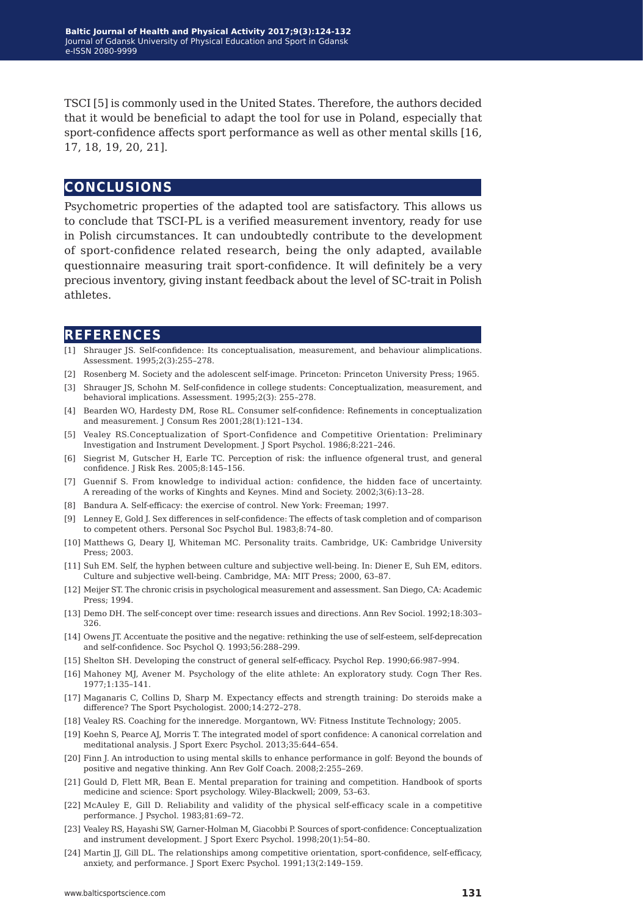TSCI [5] is commonly used in the United States. Therefore, the authors decided that it would be beneficial to adapt the tool for use in Poland, especially that sport-confidence affects sport performance as well as other mental skills [16, 17, 18, 19, 20, 21].

## **conclusions**

Psychometric properties of the adapted tool are satisfactory. This allows us to conclude that TSCI-PL is a verified measurement inventory, ready for use in Polish circumstances. It can undoubtedly contribute to the development of sport-confidence related research, being the only adapted, available questionnaire measuring trait sport-confidence. It will definitely be a very precious inventory, giving instant feedback about the level of SC-trait in Polish athletes.

## **references**

- [1] Shrauger JS. Self-confidence: Its conceptualisation, measurement, and behaviour alimplications. Assessment. 1995;2(3):255–278.
- [2] Rosenberg M. Society and the adolescent self-image. Princeton: Princeton University Press; 1965.
- [3] Shrauger JS, Schohn M. Self-confidence in college students: Conceptualization, measurement, and behavioral implications. Assessment. 1995;2(3): 255–278.
- [4] Bearden WO, Hardesty DM, Rose RL. Consumer self-confidence: Refinements in conceptualization and measurement. J Consum Res 2001;28(1):121–134.
- [5] Vealey RS.Conceptualization of Sport-Confidence and Competitive Orientation: Preliminary Investigation and Instrument Development. J Sport Psychol. 1986;8:221–246.
- [6] Siegrist M, Gutscher H, Earle TC. Perception of risk: the influence ofgeneral trust, and general confidence. J Risk Res. 2005;8:145–156.
- [7] Guennif S. From knowledge to individual action: confidence, the hidden face of uncertainty. A rereading of the works of Kinghts and Keynes. Mind and Society. 2002;3(6):13–28.
- [8] Bandura A. Self-efficacy: the exercise of control. New York: Freeman; 1997.
- [9] Lenney E, Gold J. Sex differences in self-confidence: The effects of task completion and of comparison to competent others. Personal Soc Psychol Bul. 1983;8:74–80.
- [10] Matthews G, Deary IJ, Whiteman MC. Personality traits. Cambridge, UK: Cambridge University Press; 2003.
- [11] Suh EM. Self, the hyphen between culture and subjective well-being. In: Diener E, Suh EM, editors. Culture and subjective well-being. Cambridge, MA: MIT Press; 2000, 63–87.
- [12] Meijer ST. The chronic crisis in psychological measurement and assessment. San Diego, CA: Academic Press; 1994.
- [13] Demo DH. The self-concept over time: research issues and directions. Ann Rev Sociol. 1992;18:303– 326.
- [14] Owens JT. Accentuate the positive and the negative: rethinking the use of self-esteem, self-deprecation and self-confidence. Soc Psychol Q. 1993;56:288–299.
- [15] Shelton SH. Developing the construct of general self-efficacy. Psychol Rep. 1990;66:987–994.
- [16] Mahoney MJ, Avener M. Psychology of the elite athlete: An exploratory study. Cogn Ther Res. 1977;1:135–141.
- [17] Maganaris C, Collins D, Sharp M. Expectancy effects and strength training: Do steroids make a difference? The Sport Psychologist. 2000;14:272–278.
- [18] Vealey RS. Coaching for the inneredge. Morgantown, WV: Fitness Institute Technology; 2005.
- [19] Koehn S, Pearce AJ, Morris T. The integrated model of sport confidence: A canonical correlation and meditational analysis. J Sport Exerc Psychol. 2013;35:644–654.
- [20] Finn J. An introduction to using mental skills to enhance performance in golf: Beyond the bounds of positive and negative thinking. Ann Rev Golf Coach. 2008;2:255–269.
- [21] Gould D, Flett MR, Bean E. Mental preparation for training and competition. Handbook of sports medicine and science: Sport psychology. Wiley-Blackwell; 2009, 53–63.
- [22] McAuley E, Gill D. Reliability and validity of the physical self-efficacy scale in a competitive performance. J Psychol. 1983;81:69–72.
- [23] Vealey RS, Hayashi SW, Garner-Holman M, Giacobbi P. Sources of sport-confidence: Conceptualization and instrument development. J Sport Exerc Psychol. 1998;20(1):54–80.
- [24] Martin JJ, Gill DL. The relationships among competitive orientation, sport-confidence, self-efficacy, anxiety, and performance. J Sport Exerc Psychol. 1991;13(2:149–159.